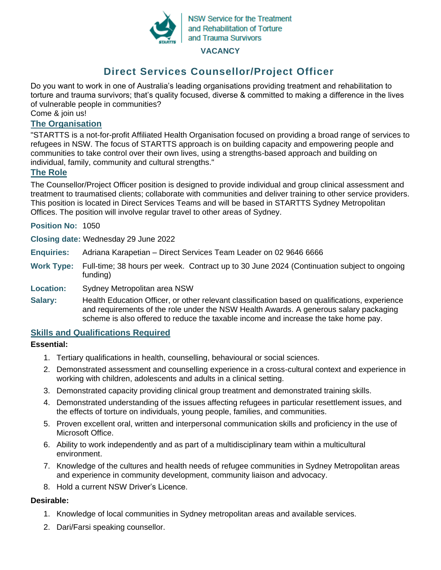

**NSW Service for the Treatment** and Rehabilitation of Torture and Trauma Survivors

#### **VACANCY**

# **Direct Services Counsellor/Project Officer**

Do you want to work in one of Australia's leading organisations providing treatment and rehabilitation to torture and trauma survivors; that's quality focused, diverse & committed to making a difference in the lives of vulnerable people in communities?

Come & join us!

## **The Organisation**

"STARTTS is a not-for-profit Affiliated Health Organisation focused on providing a broad range of services to refugees in NSW. The focus of STARTTS approach is on building capacity and empowering people and communities to take control over their own lives, using a strengths-based approach and building on individual, family, community and cultural strengths."

## **The Role**

The Counsellor/Project Officer position is designed to provide individual and group clinical assessment and treatment to traumatised clients; collaborate with communities and deliver training to other service providers. This position is located in Direct Services Teams and will be based in STARTTS Sydney Metropolitan Offices. The position will involve regular travel to other areas of Sydney.

**Position No:** 1050

**Closing date:** Wednesday 29 June 2022

- **Enquiries:** Adriana Karapetian Direct Services Team Leader on 02 9646 6666
- **Work Type:** Full-time; 38 hours per week. Contract up to 30 June 2024 (Continuation subject to ongoing funding)

#### **Location:** Sydney Metropolitan area NSW

Salary: Health Education Officer, or other relevant classification based on qualifications, experience and requirements of the role under the NSW Health Awards. A generous salary packaging scheme is also offered to reduce the taxable income and increase the take home pay.

## **Skills and Qualifications Required**

#### **Essential:**

- 1. Tertiary qualifications in health, counselling, behavioural or social sciences.
- 2. Demonstrated assessment and counselling experience in a cross-cultural context and experience in working with children, adolescents and adults in a clinical setting.
- 3. Demonstrated capacity providing clinical group treatment and demonstrated training skills.
- 4. Demonstrated understanding of the issues affecting refugees in particular resettlement issues, and the effects of torture on individuals, young people, families, and communities.
- 5. Proven excellent oral, written and interpersonal communication skills and proficiency in the use of Microsoft Office.
- 6. Ability to work independently and as part of a multidisciplinary team within a multicultural environment.
- 7. Knowledge of the cultures and health needs of refugee communities in Sydney Metropolitan areas and experience in community development, community liaison and advocacy.
- 8. Hold a current NSW Driver's Licence.

## **Desirable:**

- 1. Knowledge of local communities in Sydney metropolitan areas and available services.
- 2. Dari/Farsi speaking counsellor.